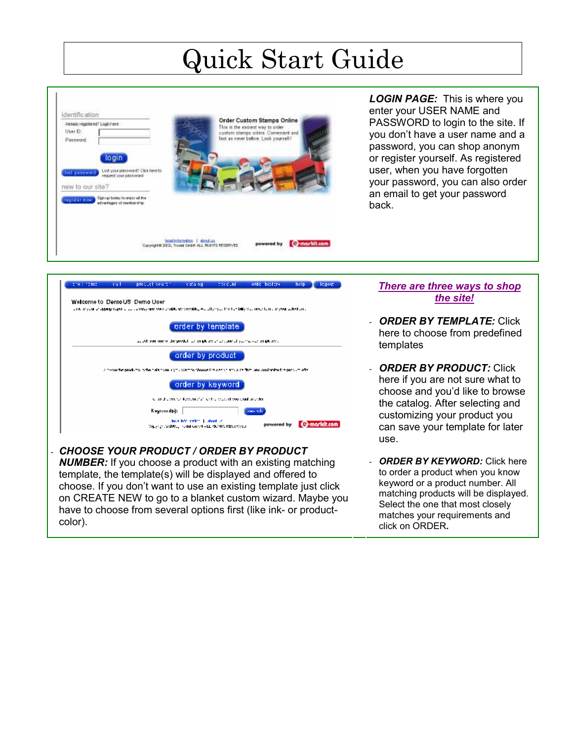## Quick Start Guide



*LOGIN PAGE:*This is where you enter your USER NAME and PASSWORD to login to the site. If you don't have a user name and a password, you can shop anonym or register yourself. As registered user, when you have forgotten your password, you can also order an email to get your password back.



- *CHOOSE YOUR PRODUCT / ORDER BY PRODUCT NUMBER:* If you choose a product with an existing matching template, the template(s) will be displayed and offered to choose. If you don't want to use an existing template just click on CREATE NEW to go to a blanket custom wizard. Maybe you have to choose from several options first (like ink- or productcolor).

## *There are three ways to shop the site!*

- *ORDER BY TEMPLATE: Click* here to choose from predefined templates
- *ORDER BY PRODUCT:* Click here if you are not sure what to choose and you'd like to browse the catalog. After selecting and customizing your product you can save your template for later use.
- *ORDER BY KEYWORD:* Click here to order a product when you know keyword or a product number. All matching products will be displayed. Select the one that most closely matches your requirements and click on ORDER*.*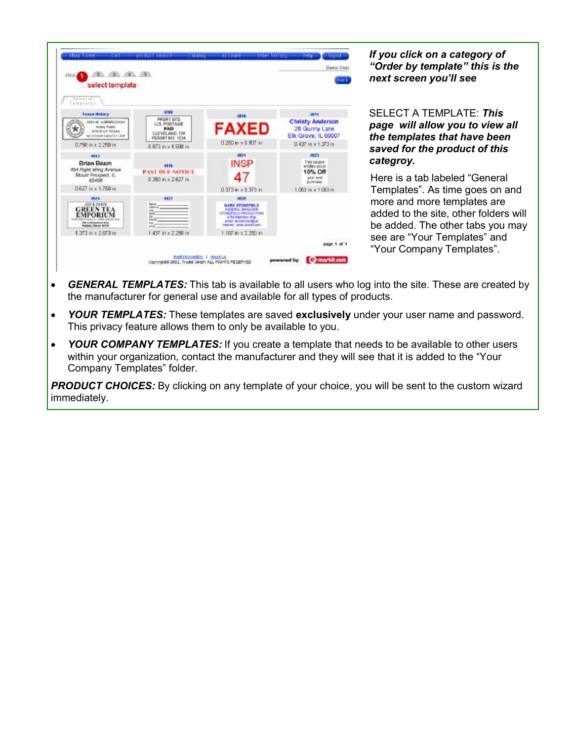

*If you click on a category of "Order by template" this is the next screen you'll see*

SELECT A TEMPLATE: *This page will allow you to view all the templates that have been saved for the product of this categroy.* 

Here is a tab labeled "General Templates". As time goes on and more and more templates are added to the site, other folders will be added. The other tabs you may see are "Your Templates" and "Your Company Templates".

- · *GENERAL TEMPLATES:* This tab is available to all users who log into the site. These are created by the manufacturer for general use and available for all types of products.
- · *YOUR TEMPLATES:* These templates are saved **exclusively** under your user name and password. This privacy feature allows them to only be available to you.
- *YOUR COMPANY TEMPLATES:* If you create a template that needs to be available to other users within your organization, contact the manufacturer and they will see that it is added to the "Your Company Templates" folder.

**PRODUCT CHOICES:** By clicking on any template of your choice, you will be sent to the custom wizard immediately.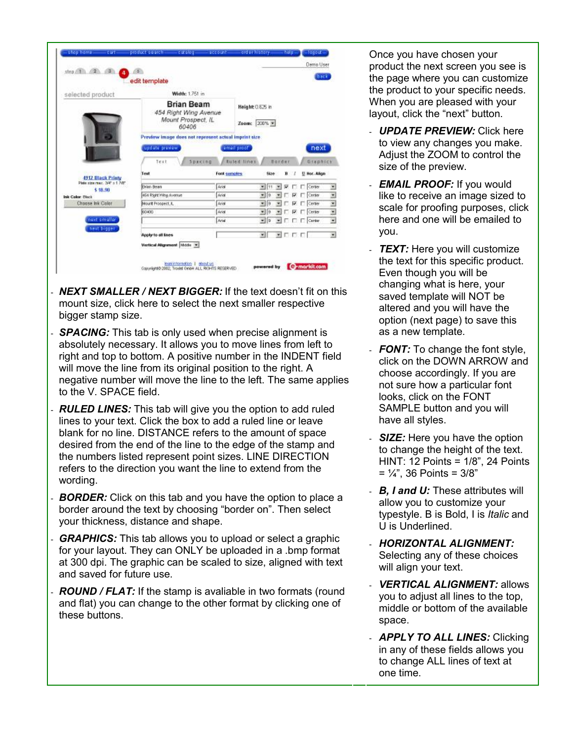| step $\begin{pmatrix} 1 & 2 & 3 \end{pmatrix}$ | 65h<br>edit template                                                      |                         |                                  |                                                      |                                      | back                                                                                                                                                                                                                                                           |              |
|------------------------------------------------|---------------------------------------------------------------------------|-------------------------|----------------------------------|------------------------------------------------------|--------------------------------------|----------------------------------------------------------------------------------------------------------------------------------------------------------------------------------------------------------------------------------------------------------------|--------------|
| selected product                               | Width: 1.751 in                                                           |                         |                                  |                                                      |                                      |                                                                                                                                                                                                                                                                |              |
|                                                | <b>Brian Beam</b><br>454 Right Wing Avenue<br>Mount Prospect, IL<br>60406 |                         | Height: 0.625 in<br>Zoom: 200% * |                                                      |                                      |                                                                                                                                                                                                                                                                |              |
|                                                | Preview image does not represent actual imprint size.<br>update preview   |                         | email proof                      |                                                      |                                      | next                                                                                                                                                                                                                                                           |              |
| <b>4912 Black Printy</b>                       | Text<br>Test                                                              | Spacing<br>Font semples | <b>Euted lines</b>               | Rorder<br>Size                                       | $\overline{\mathbf{B}}$              | Graphics<br>U. Hor. Align                                                                                                                                                                                                                                      |              |
| Plate strainard, 36F x 1.76F<br>\$ \$8.90      | <b>Brian Bears</b>                                                        | Ariol                   |                                  | 图 11 里                                               |                                      | <b>R</b> F F Center                                                                                                                                                                                                                                            | ≝            |
| <b>Ink Color: Black</b>                        | 454 Right Wing Avenue                                                     | Ariot                   |                                  | $= 16$                                               |                                      | $\Pi$ $\Box$ $\Pi$ $\Box$ Center                                                                                                                                                                                                                               | <b>KIRIN</b> |
| Choose Ink Color                               | Mount Prospect, IL                                                        | Ariol                   |                                  | $\frac{1}{2}$                                        |                                      | $\blacksquare$ $\blacksquare$ $\blacksquare$ $\blacksquare$ $\blacksquare$ $\blacksquare$ $\blacksquare$ $\blacksquare$ $\blacksquare$ $\blacksquare$ $\blacksquare$ $\blacksquare$ $\blacksquare$ $\blacksquare$ $\blacksquare$ $\blacksquare$ $\blacksquare$ |              |
|                                                | 60406                                                                     | Ariot                   |                                  | $=$ 10                                               | $\Pi$ $\Gamma$ $\Pi$ $\Gamma$ Center |                                                                                                                                                                                                                                                                |              |
| next smaller                                   |                                                                           | Artal                   |                                  | $-12$                                                |                                      | $\blacksquare$ $\blacksquare$ $\blacksquare$ $\blacksquare$ $\blacksquare$ $\blacksquare$ $\blacksquare$ $\blacksquare$ $\blacksquare$ $\blacksquare$ $\blacksquare$ $\blacksquare$ $\blacksquare$ $\blacksquare$ $\blacksquare$                               | ÿ            |
| next bigger.                                   | Apply to all lines                                                        |                         |                                  | $\mathbb{Z}$ $\mathbb{Z}$ $\cap$ $\mathbb{Z}$ $\cap$ |                                      |                                                                                                                                                                                                                                                                | 圛            |
|                                                | Vertical Alignment Midde                                                  |                         |                                  |                                                      |                                      |                                                                                                                                                                                                                                                                |              |

- *NEXT SMALLER / NEXT BIGGER:* If the text doesn't fit on this mount size, click here to select the next smaller respective bigger stamp size.
- **SPACING:** This tab is only used when precise alignment is absolutely necessary. It allows you to move lines from left to right and top to bottom. A positive number in the INDENT field will move the line from its original position to the right. A negative number will move the line to the left. The same applies to the V. SPACE field.
- **RULED LINES:** This tab will give you the option to add ruled lines to your text. Click the box to add a ruled line or leave blank for no line. DISTANCE refers to the amount of space desired from the end of the line to the edge of the stamp and the numbers listed represent point sizes. LINE DIRECTION refers to the direction you want the line to extend from the wording.
- **BORDER:** Click on this tab and you have the option to place a border around the text by choosing "border on". Then select your thickness, distance and shape.
- **GRAPHICS:** This tab allows you to upload or select a graphic for your layout. They can ONLY be uploaded in a .bmp format at 300 dpi. The graphic can be scaled to size, aligned with text and saved for future use.
- **ROUND / FLAT:** If the stamp is avaliable in two formats (round and flat) you can change to the other format by clicking one of these buttons.

Once you have chosen your product the next screen you see is the page where you can customize the product to your specific needs. When you are pleased with your layout, click the "next" button.

- *UPDATE PREVIEW:* Click here to view any changes you make. Adjust the ZOOM to control the size of the preview.
- *EMAIL PROOF:* If you would like to receive an image sized to scale for proofing purposes, click here and one will be emailed to you.
- **TEXT:** Here you will customize the text for this specific product. Even though you will be changing what is here, your saved template will NOT be altered and you will have the option (next page) to save this as a new template.
- *FONT:* To change the font style, click on the DOWN ARROW and choose accordingly. If you are not sure how a particular font looks, click on the FONT SAMPLE button and you will have all styles.
- **SIZE:** Here you have the option to change the height of the text. HINT: 12 Points = 1/8", 24 Points  $= 1/4$ ", 36 Points = 3/8"
- *B, I and U:* These attributes will allow you to customize your typestyle. B is Bold, I is *Italic* and U is Underlined.
- *HORIZONTAL ALIGNMENT:* Selecting any of these choices will align your text.
- *VERTICAL ALIGNMENT: allows* you to adjust all lines to the top, middle or bottom of the available space.
- *APPLY TO ALL LINES:* Clicking in any of these fields allows you to change ALL lines of text at one time.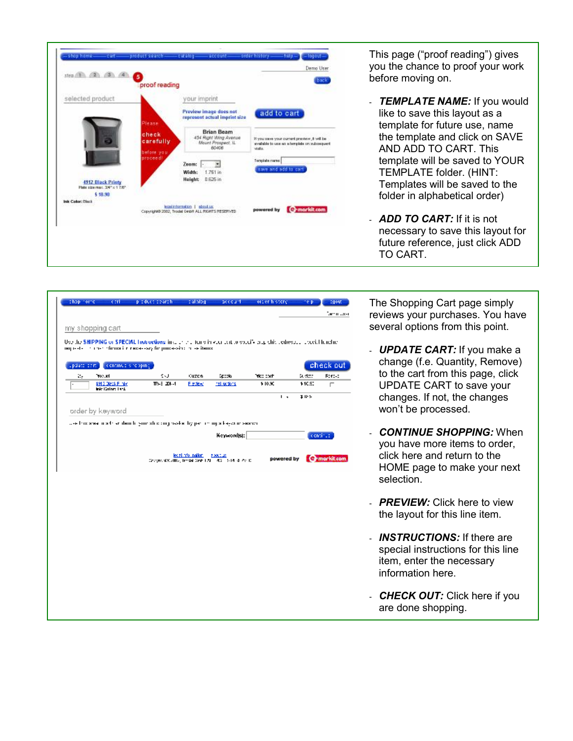

This page ("proof reading") gives you the chance to proof your work before moving on.

- *TEMPLATE NAME:* If you would like to save this layout as a template for future use, name the template and click on SAVE AND ADD TO CART. This template will be saved to YOUR TEMPLATE folder. (HINT: Templates will be saved to the folder in alphabetical order)
- *ADD TO CART:* If it is not necessary to save this layout for future reference, just click ADD TO CART.

|                                                                                                                                                                                          |            |                   |                                                         |            |        | Tamin User   |
|------------------------------------------------------------------------------------------------------------------------------------------------------------------------------------------|------------|-------------------|---------------------------------------------------------|------------|--------|--------------|
| my shopping cart                                                                                                                                                                         |            |                   |                                                         |            |        |              |
|                                                                                                                                                                                          |            |                   |                                                         |            |        |              |
| Use the SHIPPING or SPECIAL Instructions in a children in viewer car to soccil-englishing chesses. Therein handing<br>noprested in the information codes say for populasion in sectional |            |                   |                                                         |            |        |              |
|                                                                                                                                                                                          |            |                   |                                                         |            |        |              |
| update com.)<br>continue site sping.                                                                                                                                                     |            |                   |                                                         |            |        | check out.   |
| 702.09<br>Ъ,                                                                                                                                                                             | SU.        | Custom            | Spook                                                   | Trice cost | Sudder | Romac        |
| \$912 Discl-Finite<br>Intelligence Land                                                                                                                                                  | TP-3-201-4 | Easterd           | heli uctions.                                           | \$10.90    | 110.90 | г            |
|                                                                                                                                                                                          |            |                   |                                                         | ι,         | 美臣長    |              |
|                                                                                                                                                                                          |            |                   |                                                         |            |        |              |
| order by keyword                                                                                                                                                                         |            |                   |                                                         |            |        |              |
| was this sheet inside an denitle groupship corporate this performing a keywour seamer.                                                                                                   |            |                   |                                                         |            |        |              |
|                                                                                                                                                                                          |            |                   |                                                         |            |        |              |
|                                                                                                                                                                                          |            |                   |                                                         |            |        |              |
|                                                                                                                                                                                          |            |                   | Keywordisi:                                             |            |        | continue     |
|                                                                                                                                                                                          |            |                   |                                                         |            |        |              |
|                                                                                                                                                                                          |            | legal não nation. | 5,000,000                                               |            |        |              |
|                                                                                                                                                                                          |            |                   | Comprehistoriito, Incidat Gele 179 - 400 - 514 (417) C. | powered by |        | Grmarkit.com |
|                                                                                                                                                                                          |            |                   |                                                         |            |        |              |
|                                                                                                                                                                                          |            |                   |                                                         |            |        |              |
|                                                                                                                                                                                          |            |                   |                                                         |            |        |              |
|                                                                                                                                                                                          |            |                   |                                                         |            |        |              |
|                                                                                                                                                                                          |            |                   |                                                         |            |        |              |
|                                                                                                                                                                                          |            |                   |                                                         |            |        |              |
|                                                                                                                                                                                          |            |                   |                                                         |            |        |              |
|                                                                                                                                                                                          |            |                   |                                                         |            |        |              |
|                                                                                                                                                                                          |            |                   |                                                         |            |        |              |
|                                                                                                                                                                                          |            |                   |                                                         |            |        |              |
|                                                                                                                                                                                          |            |                   |                                                         |            |        |              |
|                                                                                                                                                                                          |            |                   |                                                         |            |        |              |
|                                                                                                                                                                                          |            |                   |                                                         |            |        |              |
|                                                                                                                                                                                          |            |                   |                                                         |            |        |              |

e Shopping Cart page simply riews your purchases. You have veral options from this point.

- *UPDATE CART:* If you make a change (f.e. Quantity, Remove) to the cart from this page, click UPDATE CART to save your changes. If not, the changes won't be processed.
- *CONTINUE SHOPPING:* When you have more items to order, click here and return to the HOME page to make your next selection.
- **PREVIEW:** Click here to view the layout for this line item.
- **INSTRUCTIONS:** If there are special instructions for this line item, enter the necessary information here.
- *CHECK OUT:* Click here if you are done shopping.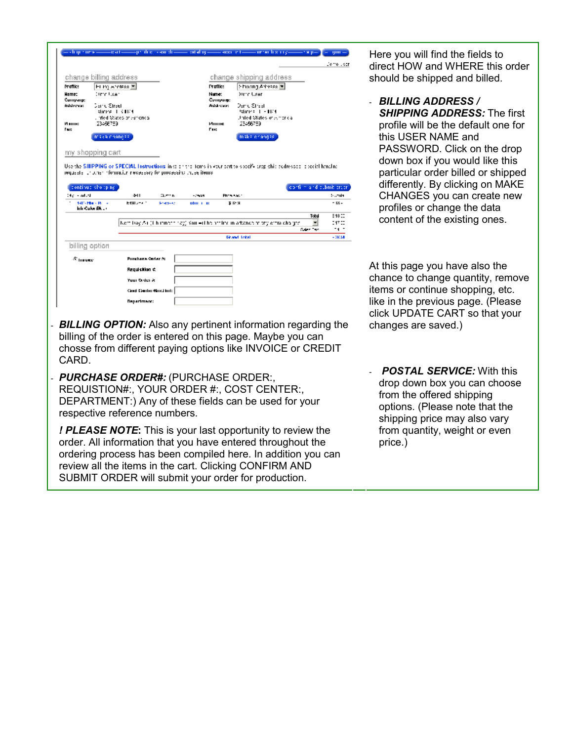|                          |                                           |                                                                    |                  |                |                   |                                                                                                                         | Jemo Lozr    |
|--------------------------|-------------------------------------------|--------------------------------------------------------------------|------------------|----------------|-------------------|-------------------------------------------------------------------------------------------------------------------------|--------------|
|                          | change billing address                    |                                                                    |                  |                |                   | change shipping address                                                                                                 |              |
| <b>Franke</b>            | Film) whereas T                           |                                                                    |                  |                | <b>Frank:</b>     | Shoring Advess #                                                                                                        |              |
| Hame:<br>Company:        | (amelikan                                 |                                                                    |                  |                | Name:<br>Compagn: | Dame User                                                                                                               |              |
| Address:                 | Damu Straet                               |                                                                    |                  |                | Address:          | Dan C Straat                                                                                                            |              |
|                          | slating 1. S.H.C.                         | , inted States of America.                                         |                  |                |                   | States 1 - 104<br>Unled States of America                                                                               |              |
| И шин:<br>Face:          | 23456759                                  |                                                                    |                  |                | Ишле<br>Гек       | 23456789                                                                                                                |              |
|                          | maka nhangaa j                            |                                                                    |                  |                |                   | make enanges.                                                                                                           |              |
|                          |                                           |                                                                    |                  |                |                   |                                                                                                                         |              |
|                          | my shopping cart                          |                                                                    |                  |                |                   |                                                                                                                         |              |
|                          |                                           |                                                                    |                  |                |                   | Use the SHIPPING or SPECIAL Instructions in as arrest tems in your sett to specify arapichic addresses, accelei handing |              |
|                          |                                           | requests, thoman information necessary for processing those items. |                  |                |                   |                                                                                                                         |              |
|                          | continue shooping.                        |                                                                    |                  |                |                   | confirm and cubmit creat                                                                                                |              |
| Digital ad ad            |                                           | 441                                                                | 0.65 N           | 100000         | Prints Haven      |                                                                                                                         | to according |
|                          | <b>BRITTING CROSS</b><br>InterCulor Elico | 64915-4-1                                                          | <b>Energie a</b> | edition in ex- |                   | 医胫骨                                                                                                                     | $-18 -$      |
|                          |                                           |                                                                    |                  |                |                   | Tobal                                                                                                                   | 948 CD       |
|                          |                                           |                                                                    |                  |                |                   | Norm league (ii) humanite ray) hourself he handled in artistness to try or to obtain the<br>▾                           | 14700        |
|                          |                                           |                                                                    |                  |                |                   | Sales Tay<br>Desend Tokel                                                                                               | -1 -<br>-068 |
| billing option           |                                           |                                                                    |                  |                |                   |                                                                                                                         |              |
|                          |                                           |                                                                    |                  |                |                   |                                                                                                                         |              |
| $\varepsilon_{\rm muwe}$ |                                           | <b>Punchase Onder &amp;</b>                                        |                  |                |                   |                                                                                                                         |              |
|                          |                                           | Regulation &                                                       |                  |                |                   |                                                                                                                         |              |
|                          |                                           | Your Order &                                                       |                  |                |                   |                                                                                                                         |              |
|                          |                                           | Card Darter Grid Int:                                              |                  |                |                   |                                                                                                                         |              |
|                          |                                           | <b>Department:</b>                                                 |                  |                |                   |                                                                                                                         |              |
|                          |                                           |                                                                    |                  |                |                   |                                                                                                                         |              |
|                          |                                           |                                                                    |                  |                |                   |                                                                                                                         |              |
|                          |                                           |                                                                    |                  |                |                   | <b>BILLING OPTION:</b> Also any pertinent information regarding the                                                     |              |
|                          |                                           |                                                                    |                  |                |                   | billing of the order is entered on this page. Maybe you can                                                             |              |
|                          |                                           |                                                                    |                  |                |                   |                                                                                                                         |              |
|                          |                                           |                                                                    |                  |                |                   | chosse from different paying options like INVOICE or CREDIT                                                             |              |
|                          |                                           |                                                                    |                  |                |                   |                                                                                                                         |              |
|                          |                                           |                                                                    |                  |                |                   |                                                                                                                         |              |
|                          |                                           |                                                                    |                  |                |                   |                                                                                                                         |              |
|                          |                                           |                                                                    |                  |                |                   | <b>PURCHASE ORDER#: (PURCHASE ORDER:,</b>                                                                               |              |
|                          |                                           |                                                                    |                  |                |                   |                                                                                                                         |              |
|                          |                                           |                                                                    |                  |                |                   | REQUISTION#:, YOUR ORDER #:, COST CENTER:,                                                                              |              |
|                          |                                           |                                                                    |                  |                |                   | DEPARTMENT:) Any of these fields can be used for your                                                                   |              |
|                          |                                           | respective reference numbers.                                      |                  |                |                   |                                                                                                                         |              |
| CARD.                    |                                           |                                                                    |                  |                |                   | ! PLEASE NOTE: This is your last opportunity to review the                                                              |              |

ordering process has been compiled here. In addition you can review all the items in the cart. Clicking CONFIRM AND SUBMIT ORDER will submit your order for production.

Here you will find the fields to direct HOW and WHERE this order should be shipped and billed.

- *BILLING ADDRESS / SHIPPING ADDRESS:* The first profile will be the default one for this USER NAME and PASSWORD. Click on the drop down box if you would like this particular order billed or shipped differently. By clicking on MAKE CHANGES you can create new profiles or change the data content of the existing ones.

At this page you have also the chance to change quantity, remove items or continue shopping, etc. like in the previous page. (Please click UPDATE CART so that your changes are saved.)

- *POSTAL SERVICE:* With this drop down box you can choose from the offered shipping options. (Please note that the shipping price may also vary from quantity, weight or even price.)